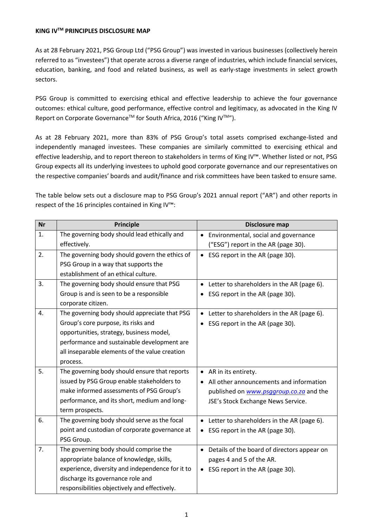## **KING IVTM PRINCIPLES DISCLOSURE MAP**

As at 28 February 2021, PSG Group Ltd ("PSG Group") was invested in various businesses (collectively herein referred to as "investees") that operate across a diverse range of industries, which include financial services, education, banking, and food and related business, as well as early-stage investments in select growth sectors.

PSG Group is committed to exercising ethical and effective leadership to achieve the four governance outcomes: ethical culture, good performance, effective control and legitimacy, as advocated in the King IV Report on Corporate Governance<sup>™</sup> for South Africa, 2016 ("King IV<sup>™")</sup>.

As at 28 February 2021, more than 83% of PSG Group's total assets comprised exchange-listed and independently managed investees. These companies are similarly committed to exercising ethical and effective leadership, and to report thereon to stakeholders in terms of King IV™. Whether listed or not, PSG Group expects all its underlying investees to uphold good corporate governance and our representatives on the respective companies' boards and audit/finance and risk committees have been tasked to ensure same.

The table below sets out a disclosure map to PSG Group's 2021 annual report ("AR") and other reports in respect of the 16 principles contained in King IV™:

| <b>Nr</b> | Principle                                        | Disclosure map                                    |
|-----------|--------------------------------------------------|---------------------------------------------------|
| 1.        | The governing body should lead ethically and     | Environmental, social and governance<br>$\bullet$ |
|           | effectively.                                     | ("ESG") report in the AR (page 30).               |
| 2.        | The governing body should govern the ethics of   | • ESG report in the AR (page 30).                 |
|           | PSG Group in a way that supports the             |                                                   |
|           | establishment of an ethical culture.             |                                                   |
| 3.        | The governing body should ensure that PSG        | • Letter to shareholders in the AR (page 6).      |
|           | Group is and is seen to be a responsible         | ESG report in the AR (page 30).                   |
|           | corporate citizen.                               |                                                   |
| 4.        | The governing body should appreciate that PSG    | • Letter to shareholders in the AR (page 6).      |
|           | Group's core purpose, its risks and              | ESG report in the AR (page 30).                   |
|           | opportunities, strategy, business model,         |                                                   |
|           | performance and sustainable development are      |                                                   |
|           | all inseparable elements of the value creation   |                                                   |
|           | process.                                         |                                                   |
| 5.        | The governing body should ensure that reports    | • AR in its entirety.                             |
|           | issued by PSG Group enable stakeholders to       | All other announcements and information           |
|           | make informed assessments of PSG Group's         | published on www.psggroup.co.za and the           |
|           | performance, and its short, medium and long-     | JSE's Stock Exchange News Service.                |
|           | term prospects.                                  |                                                   |
| 6.        | The governing body should serve as the focal     | • Letter to shareholders in the AR (page 6).      |
|           | point and custodian of corporate governance at   | ESG report in the AR (page 30).<br>٠              |
|           | PSG Group.                                       |                                                   |
| 7.        | The governing body should comprise the           | • Details of the board of directors appear on     |
|           | appropriate balance of knowledge, skills,        | pages 4 and 5 of the AR.                          |
|           | experience, diversity and independence for it to | ESG report in the AR (page 30).                   |
|           | discharge its governance role and                |                                                   |
|           | responsibilities objectively and effectively.    |                                                   |